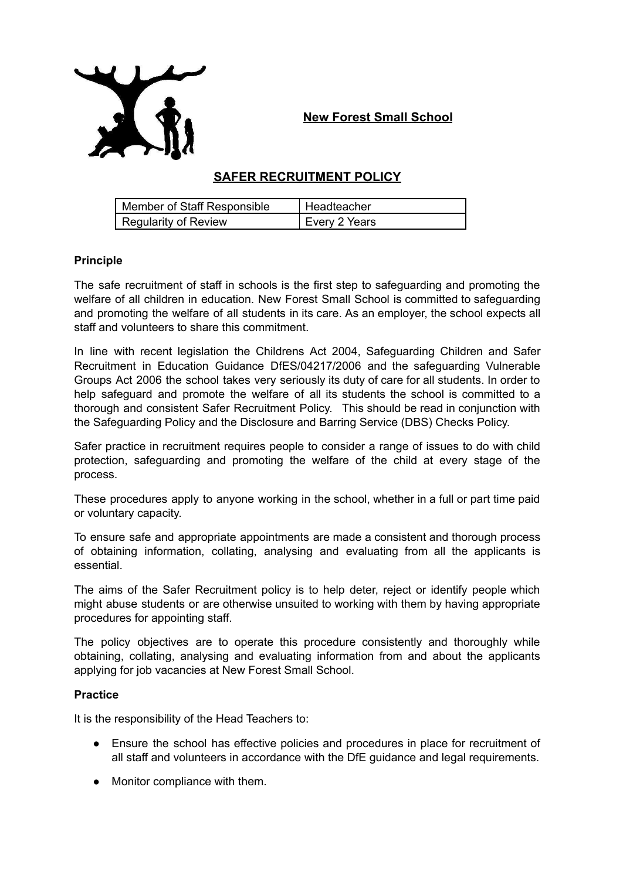

**New Forest Small School**

# **SAFER RECRUITMENT POLICY**

| Member of Staff Responsible | I Headteacher |
|-----------------------------|---------------|
| <b>Regularity of Review</b> | Every 2 Years |

## **Principle**

The safe recruitment of staff in schools is the first step to safeguarding and promoting the welfare of all children in education. New Forest Small School is committed to safeguarding and promoting the welfare of all students in its care. As an employer, the school expects all staff and volunteers to share this commitment.

In line with recent legislation the Childrens Act 2004, Safeguarding Children and Safer Recruitment in Education Guidance DfES/04217/2006 and the safeguarding Vulnerable Groups Act 2006 the school takes very seriously its duty of care for all students. In order to help safeguard and promote the welfare of all its students the school is committed to a thorough and consistent Safer Recruitment Policy. This should be read in conjunction with the Safeguarding Policy and the Disclosure and Barring Service (DBS) Checks Policy.

Safer practice in recruitment requires people to consider a range of issues to do with child protection, safeguarding and promoting the welfare of the child at every stage of the process.

These procedures apply to anyone working in the school, whether in a full or part time paid or voluntary capacity.

To ensure safe and appropriate appointments are made a consistent and thorough process of obtaining information, collating, analysing and evaluating from all the applicants is essential.

The aims of the Safer Recruitment policy is to help deter, reject or identify people which might abuse students or are otherwise unsuited to working with them by having appropriate procedures for appointing staff.

The policy objectives are to operate this procedure consistently and thoroughly while obtaining, collating, analysing and evaluating information from and about the applicants applying for job vacancies at New Forest Small School.

# **Practice**

It is the responsibility of the Head Teachers to:

- Ensure the school has effective policies and procedures in place for recruitment of all staff and volunteers in accordance with the DfE guidance and legal requirements.
- Monitor compliance with them.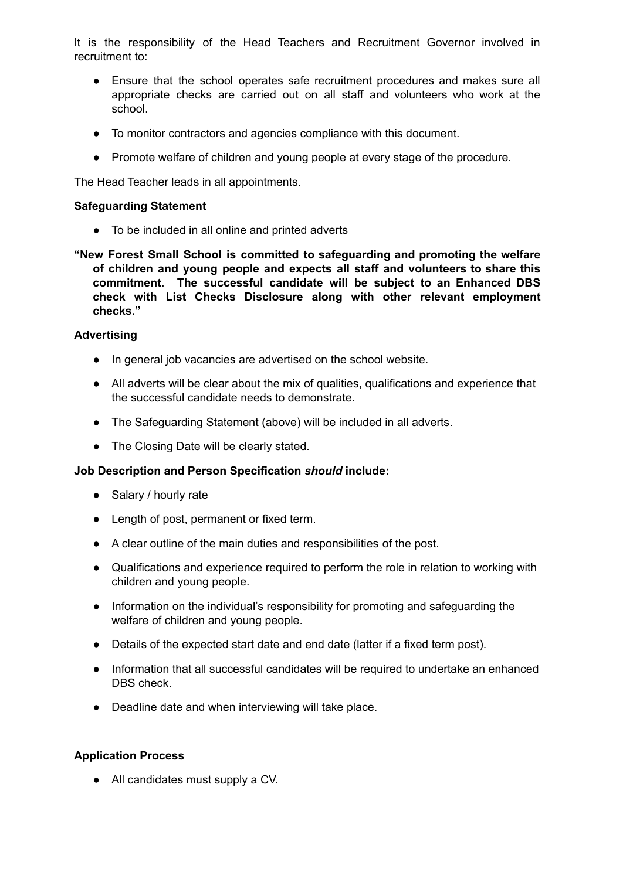It is the responsibility of the Head Teachers and Recruitment Governor involved in recruitment to:

- Ensure that the school operates safe recruitment procedures and makes sure all appropriate checks are carried out on all staff and volunteers who work at the school.
- To monitor contractors and agencies compliance with this document.
- Promote welfare of children and young people at every stage of the procedure.

The Head Teacher leads in all appointments.

#### **Safeguarding Statement**

- To be included in all online and printed adverts
- **"New Forest Small School is committed to safeguarding and promoting the welfare of children and young people and expects all staff and volunteers to share this commitment. The successful candidate will be subject to an Enhanced DBS check with List Checks Disclosure along with other relevant employment checks."**

#### **Advertising**

- In general job vacancies are advertised on the school website.
- All adverts will be clear about the mix of qualities, qualifications and experience that the successful candidate needs to demonstrate.
- The Safeguarding Statement (above) will be included in all adverts.
- The Closing Date will be clearly stated.

# **Job Description and Person Specification** *should* **include:**

- Salary / hourly rate
- Length of post, permanent or fixed term.
- A clear outline of the main duties and responsibilities of the post.
- Qualifications and experience required to perform the role in relation to working with children and young people.
- Information on the individual's responsibility for promoting and safeguarding the welfare of children and young people.
- Details of the expected start date and end date (latter if a fixed term post).
- Information that all successful candidates will be required to undertake an enhanced DBS check.
- Deadline date and when interviewing will take place.

#### **Application Process**

● All candidates must supply a CV.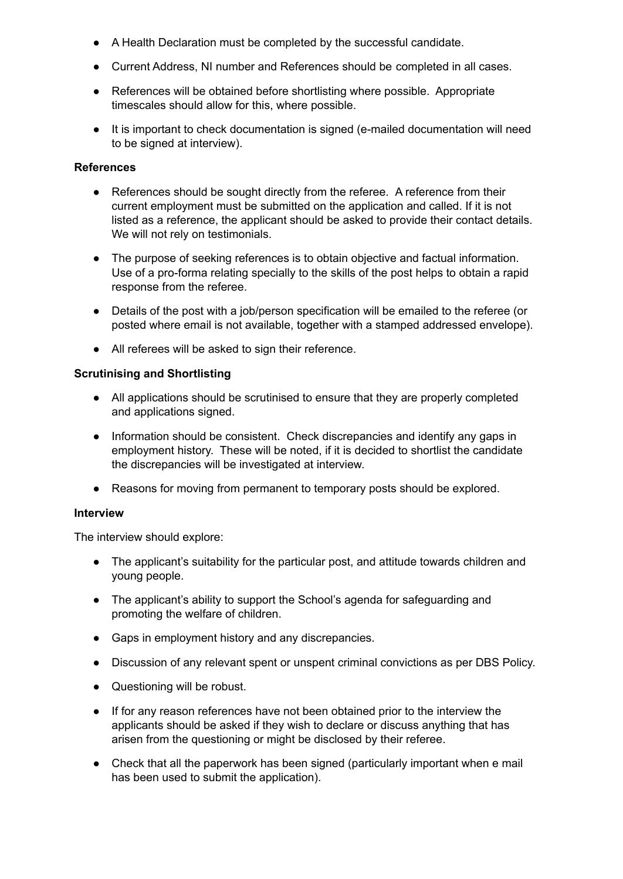- A Health Declaration must be completed by the successful candidate.
- Current Address, NI number and References should be completed in all cases.
- References will be obtained before shortlisting where possible. Appropriate timescales should allow for this, where possible.
- It is important to check documentation is signed (e-mailed documentation will need to be signed at interview).

#### **References**

- References should be sought directly from the referee. A reference from their current employment must be submitted on the application and called. If it is not listed as a reference, the applicant should be asked to provide their contact details. We will not rely on testimonials.
- The purpose of seeking references is to obtain objective and factual information. Use of a pro-forma relating specially to the skills of the post helps to obtain a rapid response from the referee.
- Details of the post with a job/person specification will be emailed to the referee (or posted where email is not available, together with a stamped addressed envelope).
- All referees will be asked to sign their reference.

#### **Scrutinising and Shortlisting**

- All applications should be scrutinised to ensure that they are properly completed and applications signed.
- Information should be consistent. Check discrepancies and identify any gaps in employment history. These will be noted, if it is decided to shortlist the candidate the discrepancies will be investigated at interview.
- Reasons for moving from permanent to temporary posts should be explored.

#### **Interview**

The interview should explore:

- The applicant's suitability for the particular post, and attitude towards children and young people.
- The applicant's ability to support the School's agenda for safeguarding and promoting the welfare of children.
- Gaps in employment history and any discrepancies.
- Discussion of any relevant spent or unspent criminal convictions as per DBS Policy.
- Questioning will be robust.
- If for any reason references have not been obtained prior to the interview the applicants should be asked if they wish to declare or discuss anything that has arisen from the questioning or might be disclosed by their referee.
- Check that all the paperwork has been signed (particularly important when e mail has been used to submit the application).